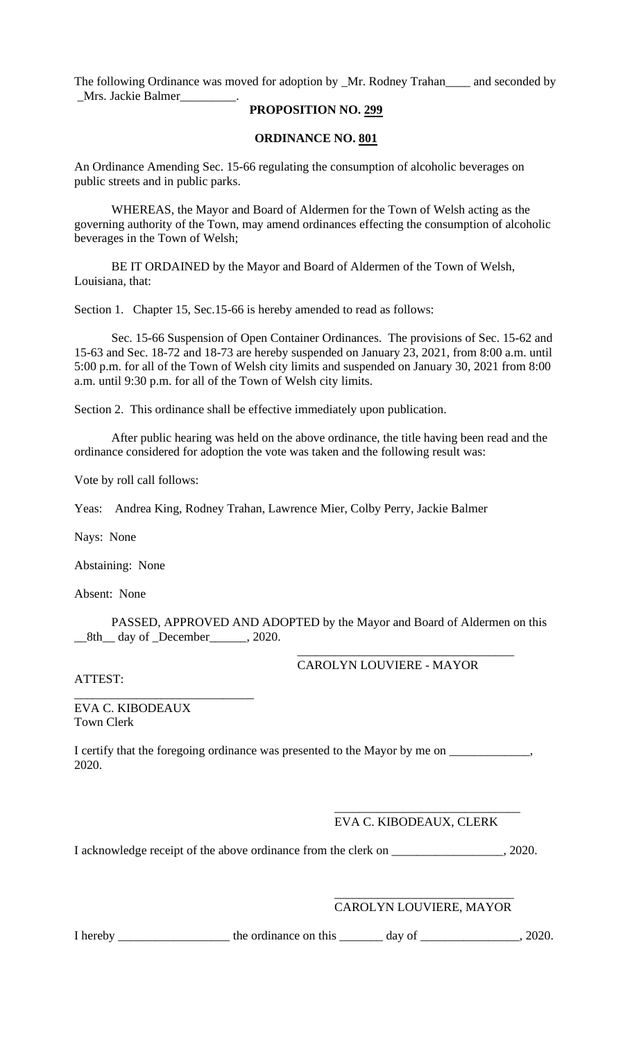The following Ordinance was moved for adoption by \_Mr. Rodney Trahan\_\_\_\_ and seconded by \_Mrs. Jackie Balmer\_\_\_\_\_\_\_\_\_.

## **PROPOSITION NO. 299**

## **ORDINANCE NO. 801**

An Ordinance Amending Sec. 15-66 regulating the consumption of alcoholic beverages on public streets and in public parks.

WHEREAS, the Mayor and Board of Aldermen for the Town of Welsh acting as the governing authority of the Town, may amend ordinances effecting the consumption of alcoholic beverages in the Town of Welsh;

BE IT ORDAINED by the Mayor and Board of Aldermen of the Town of Welsh, Louisiana, that:

Section 1. Chapter 15, Sec.15-66 is hereby amended to read as follows:

Sec. 15-66 Suspension of Open Container Ordinances. The provisions of Sec. 15-62 and 15-63 and Sec. 18-72 and 18-73 are hereby suspended on January 23, 2021, from 8:00 a.m. until 5:00 p.m. for all of the Town of Welsh city limits and suspended on January 30, 2021 from 8:00 a.m. until 9:30 p.m. for all of the Town of Welsh city limits.

Section 2. This ordinance shall be effective immediately upon publication.

After public hearing was held on the above ordinance, the title having been read and the ordinance considered for adoption the vote was taken and the following result was:

Vote by roll call follows:

Yeas: Andrea King, Rodney Trahan, Lawrence Mier, Colby Perry, Jackie Balmer

Nays: None

Abstaining: None

Absent: None

PASSED, APPROVED AND ADOPTED by the Mayor and Board of Aldermen on this \_\_8th\_\_ day of \_December\_\_\_\_\_\_, 2020.

CAROLYN LOUVIERE - MAYOR

\_\_\_\_\_\_\_\_\_\_\_\_\_\_\_\_\_\_\_\_\_\_\_\_\_\_\_\_\_\_\_\_\_\_\_

ATTEST:

EVA C. KIBODEAUX Town Clerk

\_\_\_\_\_\_\_\_\_\_\_\_\_\_\_\_\_\_\_\_\_\_\_\_\_\_\_\_\_

I certify that the foregoing ordinance was presented to the Mayor by me on \_\_\_\_\_\_\_\_\_\_\_\_, 2020.

> \_\_\_\_\_\_\_\_\_\_\_\_\_\_\_\_\_\_\_\_\_\_\_\_\_\_\_\_\_\_ EVA C. KIBODEAUX, CLERK

I acknowledge receipt of the above ordinance from the clerk on \_\_\_\_\_\_\_\_\_\_\_\_\_\_\_\_\_, 2020.

\_\_\_\_\_\_\_\_\_\_\_\_\_\_\_\_\_\_\_\_\_\_\_\_\_\_\_\_\_ CAROLYN LOUVIERE, MAYOR

I hereby \_\_\_\_\_\_\_\_\_\_\_\_\_\_\_\_\_\_\_\_\_ the ordinance on this \_\_\_\_\_\_\_\_ day of \_\_\_\_\_\_\_\_\_\_\_\_\_\_, 2020.